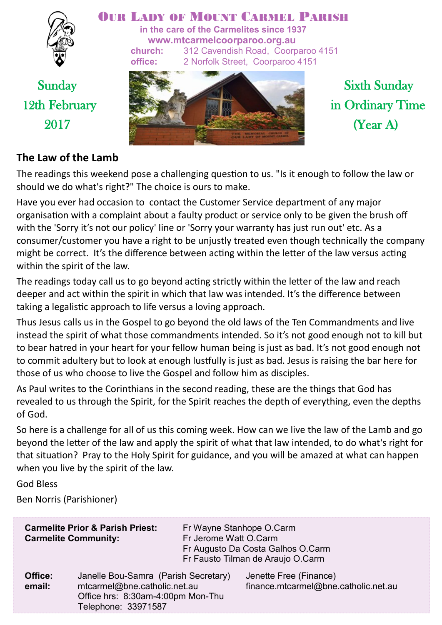

### OUR LADY OF MOUNT CARMEL PARISH

**in the care of the Carmelites since 1937 www.mtcarmelcoorparoo.org.au church:** 312 Cavendish Road, Coorparoo 4151 **office:** 2 Norfolk Street, Coorparoo 4151



# Sunday Sixth Sunday 12th February in Ordinary Time  $2017$  (Year A)

### **The Law of the Lamb**

The readings this weekend pose a challenging question to us. "Is it enough to follow the law or should we do what's right?" The choice is ours to make.

Have you ever had occasion to contact the Customer Service department of any major organisation with a complaint about a faulty product or service only to be given the brush off with the 'Sorry it's not our policy' line or 'Sorry your warranty has just run out' etc. As a consumer/customer you have a right to be unjustly treated even though technically the company might be correct. It's the difference between acting within the letter of the law versus acting within the spirit of the law.

The readings today call us to go beyond acting strictly within the letter of the law and reach deeper and act within the spirit in which that law was intended. It's the difference between taking a legalistic approach to life versus a loving approach.

Thus Jesus calls us in the Gospel to go beyond the old laws of the Ten Commandments and live instead the spirit of what those commandments intended. So it's not good enough not to kill but to bear hatred in your heart for your fellow human being is just as bad. It's not good enough not to commit adultery but to look at enough lustfully is just as bad. Jesus is raising the bar here for those of us who choose to live the Gospel and follow him as disciples.

As Paul writes to the Corinthians in the second reading, these are the things that God has revealed to us through the Spirit, for the Spirit reaches the depth of everything, even the depths of God.

So here is a challenge for all of us this coming week. How can we live the law of the Lamb and go beyond the letter of the law and apply the spirit of what that law intended, to do what's right for that situation? Pray to the Holy Spirit for guidance, and you will be amazed at what can happen when you live by the spirit of the law.

God Bless

Ben Norris (Parishioner)

| <b>Carmelite Prior &amp; Parish Priest:</b><br><b>Carmelite Community:</b> |                                                                                                                                  | Fr Wayne Stanhope O.Carm<br>Fr Jerome Watt O.Carm<br>Fr Augusto Da Costa Galhos O.Carm<br>Fr Fausto Tilman de Araujo O.Carm |                                                                |
|----------------------------------------------------------------------------|----------------------------------------------------------------------------------------------------------------------------------|-----------------------------------------------------------------------------------------------------------------------------|----------------------------------------------------------------|
| Office:<br>email:                                                          | Janelle Bou-Samra (Parish Secretary)<br>mtcarmel@bne.catholic.net.au<br>Office hrs: 8:30am-4:00pm Mon-Thu<br>Telephone: 33971587 |                                                                                                                             | Jenette Free (Finance)<br>finance.mtcarmel@bne.catholic.net.au |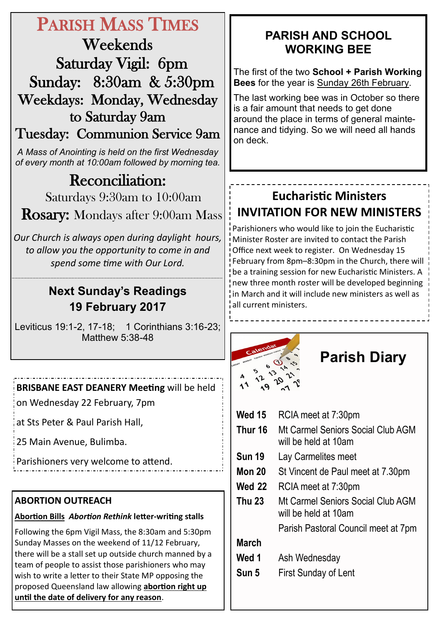# PARISH MASS TIMES

Weekends Saturday Vigil: 6pm Sunday: 8:30am & 5:30pm Weekdays: Monday, Wednesday to Saturday 9am

Tuesday: Communion Service 9am

*A Mass of Anointing is held on the first Wednesday of every month at 10:00am followed by morning tea.*

# Reconciliation:

Saturdays 9:30am to 10:00am

Rosary: Mondays after 9:00am Mass

*Our Church is always open during daylight hours, to allow you the opportunity to come in and spend some time with Our Lord.*

## **Next Sunday's Readings 19 February 2017**

\_\_\_\_\_\_\_\_\_\_\_\_\_\_\_\_\_\_\_\_\_\_\_\_\_\_\_\_\_\_\_\_\_\_\_\_\_\_\_\_\_\_\_\_\_\_\_\_\_\_\_\_\_\_\_\_\_\_\_\_\_\_\_\_\_\_\_\_\_\_\_

Leviticus 19:1-2, 17-18; 1 Corinthians 3:16-23; Matthew 5:38-48

**BRISBANE EAST DEANERY Meeting** will be held

on Wednesday 22 February, 7pm

at Sts Peter & Paul Parish Hall,

25 Main Avenue, Bulimba.

Parishioners very welcome to attend.

### **ABORTION OUTREACH**

#### **Abortion Bills** *Abortion Rethink* **letter-writing stalls**

Following the 6pm Vigil Mass, the 8:30am and 5:30pm Sunday Masses on the weekend of 11/12 February, there will be a stall set up outside church manned by a team of people to assist those parishioners who may wish to write a letter to their State MP opposing the proposed Queensland law allowing **abortion right up until the date of delivery for any reason**.

## **PARISH AND SCHOOL WORKING BEE**

The first of the two **School + Parish Working Bees** for the year is Sunday 26th February.

The last working bee was in October so there is a fair amount that needs to get done around the place in terms of general maintenance and tidying. So we will need all hands on deck.

## **Eucharistic Ministers INVITATION FOR NEW MINISTERS**

Parishioners who would like to join the Eucharistic Minister Roster are invited to contact the Parish Office next week to register. On Wednesday 15 February from 8pm–8:30pm in the Church, there will be a training session for new Eucharistic Ministers. A new three month roster will be developed beginning in March and it will include new ministers as well as all current ministers.

# **Parish Diary**

| Wed 15                                             | RCIA meet at 7:30pm                                       |  |
|----------------------------------------------------|-----------------------------------------------------------|--|
| Thur 16                                            | Mt Carmel Seniors Social Club AGM<br>will be held at 10am |  |
| <b>Sun 19</b>                                      | Lay Carmelites meet                                       |  |
| <b>Mon 20</b><br>St Vincent de Paul meet at 7.30pm |                                                           |  |
| <b>Wed 22</b>                                      | RCIA meet at 7:30pm                                       |  |
| <b>Thu 23</b>                                      | Mt Carmel Seniors Social Club AGM<br>will be held at 10am |  |
|                                                    | Parish Pastoral Council meet at 7pm                       |  |
| March                                              |                                                           |  |
| Wed 1                                              | Ash Wednesday                                             |  |
| Sun 5                                              | <b>First Sunday of Lent</b>                               |  |
|                                                    |                                                           |  |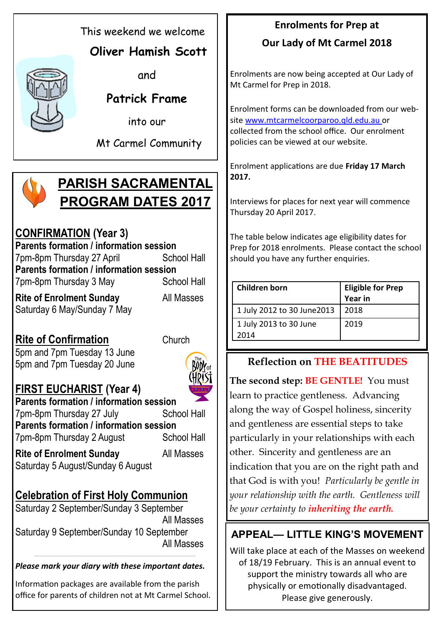This weekend we welcome

## **Oliver Hamish Scott**

and

## **Patrick Frame**

into our

Mt Carmel Community

# **PARISH SACRAMENTAL PROGRAM DATES 2017**

## **CONFIRMATION (Year 3)**

**Parents formation / information session** 7pm-8pm Thursday 27 April School Hall **Parents formation / information session** 7pm-8pm Thursday 3 May School Hall

**Rite of Enrolment Sunday** All Masses Saturday 6 May/Sunday 7 May

**Rite of Confirmation** Church 5pm and 7pm Tuesday 13 June 5pm and 7pm Tuesday 20 June



## **FIRST EUCHARIST (Year 4)**

**Parents formation / information session** 7pm-8pm Thursday 27 July School Hall **Parents formation / information session** 7pm-8pm Thursday 2 August School Hall

**Rite of Enrolment Sunday** All Masses Saturday 5 August/Sunday 6 August

## **Celebration of First Holy Communion**

Saturday 2 September/Sunday 3 September All Masses Saturday 9 September/Sunday 10 September All Masses

*Please mark your diary with these important dates.*

 $\_$  ,  $\_$  ,  $\_$  ,  $\_$  ,  $\_$  ,  $\_$  ,  $\_$  ,  $\_$  ,  $\_$  ,  $\_$  ,  $\_$  ,  $\_$  ,  $\_$  ,  $\_$  ,  $\_$  ,  $\_$  ,  $\_$  ,  $\_$  ,  $\_$  ,  $\_$  ,  $\_$  ,  $\_$  ,  $\_$  ,  $\_$  ,  $\_$  ,  $\_$  ,  $\_$  ,  $\_$  ,  $\_$  ,  $\_$  ,  $\_$  ,  $\_$  ,  $\_$  ,  $\_$  ,  $\_$  ,  $\_$  ,  $\_$  ,

Information packages are available from the parish office for parents of children not at Mt Carmel School.

# **Enrolments for Prep at**

## **Our Lady of Mt Carmel 2018**

Enrolments are now being accepted at Our Lady of Mt Carmel for Prep in 2018.

Enrolment forms can be downloaded from our website www.mtcarmelcoorparoo.qld.edu.au or collected from the school office. Our enrolment policies can be viewed at our website.

Enrolment applications are due **Friday 17 March 2017.**

Interviews for places for next year will commence Thursday 20 April 2017.

The table below indicates age eligibility dates for Prep for 2018 enrolments. Please contact the school should you have any further enquiries.

| <b>Children born</b>           | <b>Eligible for Prep</b><br><b>Year in</b> |
|--------------------------------|--------------------------------------------|
| 1 July 2012 to 30 June 2013    | 2018                                       |
| 1 July 2013 to 30 June<br>2014 | 2019                                       |

## **Reflection on THE BEATITUDES**

**The second step: BE GENTLE!** You must learn to practice gentleness. Advancing along the way of Gospel holiness, sincerity and gentleness are essential steps to take particularly in your relationships with each other. Sincerity and gentleness are an indication that you are on the right path and that God is with you! *Particularly be gentle in your relationship with the earth. Gentleness will be your certainty to inheriting the earth.*

## **APPEAL— LITTLE KING'S MOVEMENT**

Will take place at each of the Masses on weekend of 18/19 February. This is an annual event to support the ministry towards all who are physically or emotionally disadvantaged. Please give generously.